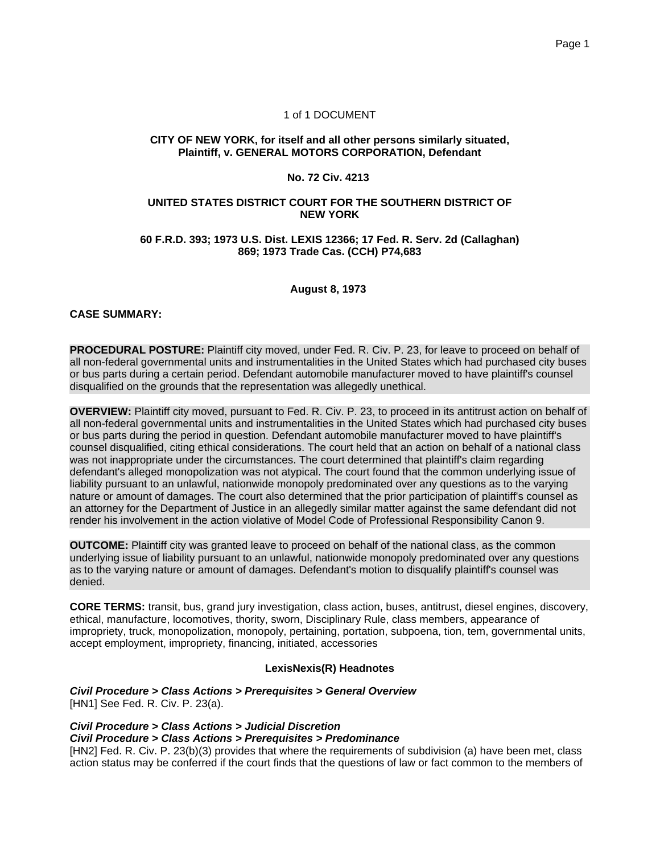### 1 of 1 DOCUMENT

#### **CITY OF NEW YORK, for itself and all other persons similarly situated, Plaintiff, v. GENERAL MOTORS CORPORATION, Defendant**

### **No. 72 Civ. 4213**

#### **UNITED STATES DISTRICT COURT FOR THE SOUTHERN DISTRICT OF NEW YORK**

#### **60 F.R.D. 393; 1973 U.S. Dist. LEXIS 12366; 17 Fed. R. Serv. 2d (Callaghan) 869; 1973 Trade Cas. (CCH) P74,683**

**August 8, 1973**

### **CASE SUMMARY:**

**PROCEDURAL POSTURE:** Plaintiff city moved, under Fed. R. Civ. P. 23, for leave to proceed on behalf of all non-federal governmental units and instrumentalities in the United States which had purchased city buses or bus parts during a certain period. Defendant automobile manufacturer moved to have plaintiff's counsel disqualified on the grounds that the representation was allegedly unethical.

**OVERVIEW:** Plaintiff city moved, pursuant to Fed. R. Civ. P. 23, to proceed in its antitrust action on behalf of all non-federal governmental units and instrumentalities in the United States which had purchased city buses or bus parts during the period in question. Defendant automobile manufacturer moved to have plaintiff's counsel disqualified, citing ethical considerations. The court held that an action on behalf of a national class was not inappropriate under the circumstances. The court determined that plaintiff's claim regarding defendant's alleged monopolization was not atypical. The court found that the common underlying issue of liability pursuant to an unlawful, nationwide monopoly predominated over any questions as to the varying nature or amount of damages. The court also determined that the prior participation of plaintiff's counsel as an attorney for the Department of Justice in an allegedly similar matter against the same defendant did not render his involvement in the action violative of Model Code of Professional Responsibility Canon 9.

**OUTCOME:** Plaintiff city was granted leave to proceed on behalf of the national class, as the common underlying issue of liability pursuant to an unlawful, nationwide monopoly predominated over any questions as to the varying nature or amount of damages. Defendant's motion to disqualify plaintiff's counsel was denied.

**CORE TERMS:** transit, bus, grand jury investigation, class action, buses, antitrust, diesel engines, discovery, ethical, manufacture, locomotives, thority, sworn, Disciplinary Rule, class members, appearance of impropriety, truck, monopolization, monopoly, pertaining, portation, subpoena, tion, tem, governmental units, accept employment, impropriety, financing, initiated, accessories

#### **LexisNexis(R) Headnotes**

**Civil Procedure > Class Actions > Prerequisites > General Overview** [HN1] See Fed. R. Civ. P. 23(a).

# **Civil Procedure > Class Actions > Judicial Discretion Civil Procedure > Class Actions > Prerequisites > Predominance**

[HN2] Fed. R. Civ. P. 23(b)(3) provides that where the requirements of subdivision (a) have been met, class action status may be conferred if the court finds that the questions of law or fact common to the members of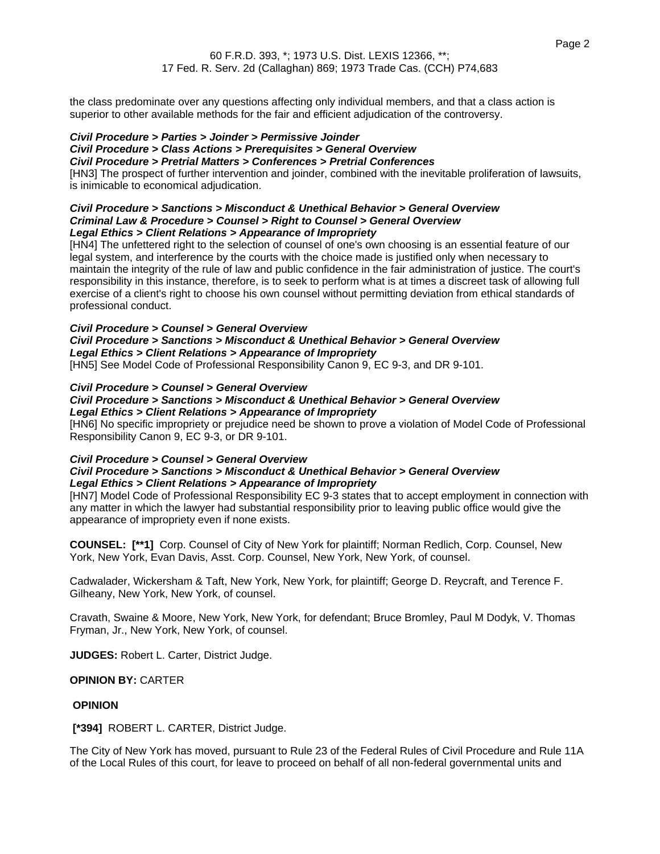the class predominate over any questions affecting only individual members, and that a class action is superior to other available methods for the fair and efficient adjudication of the controversy.

### **Civil Procedure > Parties > Joinder > Permissive Joinder**

#### **Civil Procedure > Class Actions > Prerequisites > General Overview**

### **Civil Procedure > Pretrial Matters > Conferences > Pretrial Conferences**

[HN3] The prospect of further intervention and joinder, combined with the inevitable proliferation of lawsuits, is inimicable to economical adjudication.

#### **Civil Procedure > Sanctions > Misconduct & Unethical Behavior > General Overview Criminal Law & Procedure > Counsel > Right to Counsel > General Overview Legal Ethics > Client Relations > Appearance of Impropriety**

[HN4] The unfettered right to the selection of counsel of one's own choosing is an essential feature of our legal system, and interference by the courts with the choice made is justified only when necessary to maintain the integrity of the rule of law and public confidence in the fair administration of justice. The court's responsibility in this instance, therefore, is to seek to perform what is at times a discreet task of allowing full exercise of a client's right to choose his own counsel without permitting deviation from ethical standards of professional conduct.

### **Civil Procedure > Counsel > General Overview Civil Procedure > Sanctions > Misconduct & Unethical Behavior > General Overview Legal Ethics > Client Relations > Appearance of Impropriety**

[HN5] See Model Code of Professional Responsibility Canon 9, EC 9-3, and DR 9-101.

### **Civil Procedure > Counsel > General Overview**

#### **Civil Procedure > Sanctions > Misconduct & Unethical Behavior > General Overview Legal Ethics > Client Relations > Appearance of Impropriety**

[HN6] No specific impropriety or prejudice need be shown to prove a violation of Model Code of Professional Responsibility Canon 9, EC 9-3, or DR 9-101.

#### **Civil Procedure > Counsel > General Overview Civil Procedure > Sanctions > Misconduct & Unethical Behavior > General Overview**

## **Legal Ethics > Client Relations > Appearance of Impropriety**

[HN7] Model Code of Professional Responsibility EC 9-3 states that to accept employment in connection with any matter in which the lawyer had substantial responsibility prior to leaving public office would give the appearance of impropriety even if none exists.

**COUNSEL: [\*\*1]** Corp. Counsel of City of New York for plaintiff; Norman Redlich, Corp. Counsel, New York, New York, Evan Davis, Asst. Corp. Counsel, New York, New York, of counsel.

Cadwalader, Wickersham & Taft, New York, New York, for plaintiff; George D. Reycraft, and Terence F. Gilheany, New York, New York, of counsel.

Cravath, Swaine & Moore, New York, New York, for defendant; Bruce Bromley, Paul M Dodyk, V. Thomas Fryman, Jr., New York, New York, of counsel.

**JUDGES:** Robert L. Carter, District Judge.

### **OPINION BY:** CARTER

### **OPINION**

**[\*394]** ROBERT L. CARTER, District Judge.

The City of New York has moved, pursuant to Rule 23 of the Federal Rules of Civil Procedure and Rule 11A of the Local Rules of this court, for leave to proceed on behalf of all non-federal governmental units and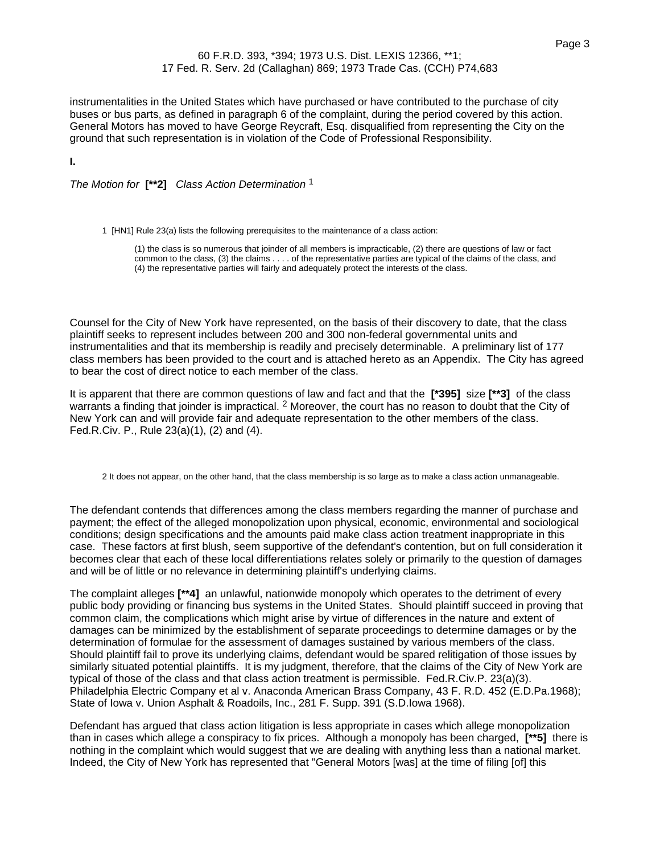### Page 3

### 60 F.R.D. 393, \*394; 1973 U.S. Dist. LEXIS 12366, \*\*1; 17 Fed. R. Serv. 2d (Callaghan) 869; 1973 Trade Cas. (CCH) P74,683

instrumentalities in the United States which have purchased or have contributed to the purchase of city buses or bus parts, as defined in paragraph 6 of the complaint, during the period covered by this action. General Motors has moved to have George Reycraft, Esq. disqualified from representing the City on the ground that such representation is in violation of the Code of Professional Responsibility.

**I.**

The Motion for **[\*\*2]** Class Action Determination 1

1 [HN1] Rule 23(a) lists the following prerequisites to the maintenance of a class action:

(1) the class is so numerous that joinder of all members is impracticable, (2) there are questions of law or fact common to the class, (3) the claims . . . . of the representative parties are typical of the claims of the class, and (4) the representative parties will fairly and adequately protect the interests of the class.

Counsel for the City of New York have represented, on the basis of their discovery to date, that the class plaintiff seeks to represent includes between 200 and 300 non-federal governmental units and instrumentalities and that its membership is readily and precisely determinable. A preliminary list of 177 class members has been provided to the court and is attached hereto as an Appendix. The City has agreed to bear the cost of direct notice to each member of the class.

It is apparent that there are common questions of law and fact and that the **[\*395]** size **[\*\*3]** of the class warrants a finding that joinder is impractical. <sup>2</sup> Moreover, the court has no reason to doubt that the City of New York can and will provide fair and adequate representation to the other members of the class. Fed.R.Civ. P., Rule 23(a)(1), (2) and (4).

2 It does not appear, on the other hand, that the class membership is so large as to make a class action unmanageable.

The defendant contends that differences among the class members regarding the manner of purchase and payment; the effect of the alleged monopolization upon physical, economic, environmental and sociological conditions; design specifications and the amounts paid make class action treatment inappropriate in this case. These factors at first blush, seem supportive of the defendant's contention, but on full consideration it becomes clear that each of these local differentiations relates solely or primarily to the question of damages and will be of little or no relevance in determining plaintiff's underlying claims.

The complaint alleges **[\*\*4]** an unlawful, nationwide monopoly which operates to the detriment of every public body providing or financing bus systems in the United States. Should plaintiff succeed in proving that common claim, the complications which might arise by virtue of differences in the nature and extent of damages can be minimized by the establishment of separate proceedings to determine damages or by the determination of formulae for the assessment of damages sustained by various members of the class. Should plaintiff fail to prove its underlying claims, defendant would be spared relitigation of those issues by similarly situated potential plaintiffs. It is my judgment, therefore, that the claims of the City of New York are typical of those of the class and that class action treatment is permissible. Fed.R.Civ.P. 23(a)(3). Philadelphia Electric Company et al v. Anaconda American Brass Company, 43 F. R.D. 452 (E.D.Pa.1968); State of Iowa v. Union Asphalt & Roadoils, Inc., 281 F. Supp. 391 (S.D.Iowa 1968).

Defendant has argued that class action litigation is less appropriate in cases which allege monopolization than in cases which allege a conspiracy to fix prices. Although a monopoly has been charged, **[\*\*5]** there is nothing in the complaint which would suggest that we are dealing with anything less than a national market. Indeed, the City of New York has represented that "General Motors [was] at the time of filing [of] this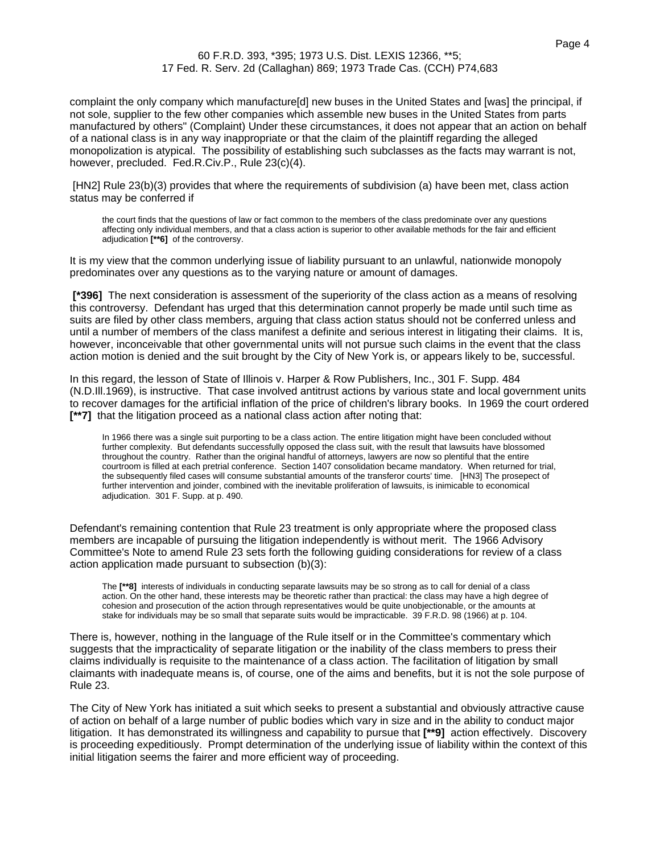complaint the only company which manufacture[d] new buses in the United States and [was] the principal, if not sole, supplier to the few other companies which assemble new buses in the United States from parts manufactured by others" (Complaint) Under these circumstances, it does not appear that an action on behalf of a national class is in any way inappropriate or that the claim of the plaintiff regarding the alleged monopolization is atypical. The possibility of establishing such subclasses as the facts may warrant is not, however, precluded. Fed.R.Civ.P., Rule 23(c)(4).

[HN2] Rule 23(b)(3) provides that where the requirements of subdivision (a) have been met, class action status may be conferred if

the court finds that the questions of law or fact common to the members of the class predominate over any questions affecting only individual members, and that a class action is superior to other available methods for the fair and efficient adjudication **[\*\*6]** of the controversy.

It is my view that the common underlying issue of liability pursuant to an unlawful, nationwide monopoly predominates over any questions as to the varying nature or amount of damages.

**[\*396]** The next consideration is assessment of the superiority of the class action as a means of resolving this controversy. Defendant has urged that this determination cannot properly be made until such time as suits are filed by other class members, arguing that class action status should not be conferred unless and until a number of members of the class manifest a definite and serious interest in litigating their claims. It is, however, inconceivable that other governmental units will not pursue such claims in the event that the class action motion is denied and the suit brought by the City of New York is, or appears likely to be, successful.

In this regard, the lesson of State of Illinois v. Harper & Row Publishers, Inc., 301 F. Supp. 484 (N.D.Ill.1969), is instructive. That case involved antitrust actions by various state and local government units to recover damages for the artificial inflation of the price of children's library books. In 1969 the court ordered **[\*\*7]** that the litigation proceed as a national class action after noting that:

In 1966 there was a single suit purporting to be a class action. The entire litigation might have been concluded without further complexity. But defendants successfully opposed the class suit, with the result that lawsuits have blossomed throughout the country. Rather than the original handful of attorneys, lawyers are now so plentiful that the entire courtroom is filled at each pretrial conference. Section 1407 consolidation became mandatory. When returned for trial, the subsequently filed cases will consume substantial amounts of the transferor courts' time. [HN3] The prosepect of further intervention and joinder, combined with the inevitable proliferation of lawsuits, is inimicable to economical adjudication. 301 F. Supp. at p. 490.

Defendant's remaining contention that Rule 23 treatment is only appropriate where the proposed class members are incapable of pursuing the litigation independently is without merit. The 1966 Advisory Committee's Note to amend Rule 23 sets forth the following guiding considerations for review of a class action application made pursuant to subsection (b)(3):

The **[\*\*8]** interests of individuals in conducting separate lawsuits may be so strong as to call for denial of a class action. On the other hand, these interests may be theoretic rather than practical: the class may have a high degree of cohesion and prosecution of the action through representatives would be quite unobjectionable, or the amounts at stake for individuals may be so small that separate suits would be impracticable. 39 F.R.D. 98 (1966) at p. 104.

There is, however, nothing in the language of the Rule itself or in the Committee's commentary which suggests that the impracticality of separate litigation or the inability of the class members to press their claims individually is requisite to the maintenance of a class action. The facilitation of litigation by small claimants with inadequate means is, of course, one of the aims and benefits, but it is not the sole purpose of Rule 23.

The City of New York has initiated a suit which seeks to present a substantial and obviously attractive cause of action on behalf of a large number of public bodies which vary in size and in the ability to conduct major litigation. It has demonstrated its willingness and capability to pursue that **[\*\*9]** action effectively. Discovery is proceeding expeditiously. Prompt determination of the underlying issue of liability within the context of this initial litigation seems the fairer and more efficient way of proceeding.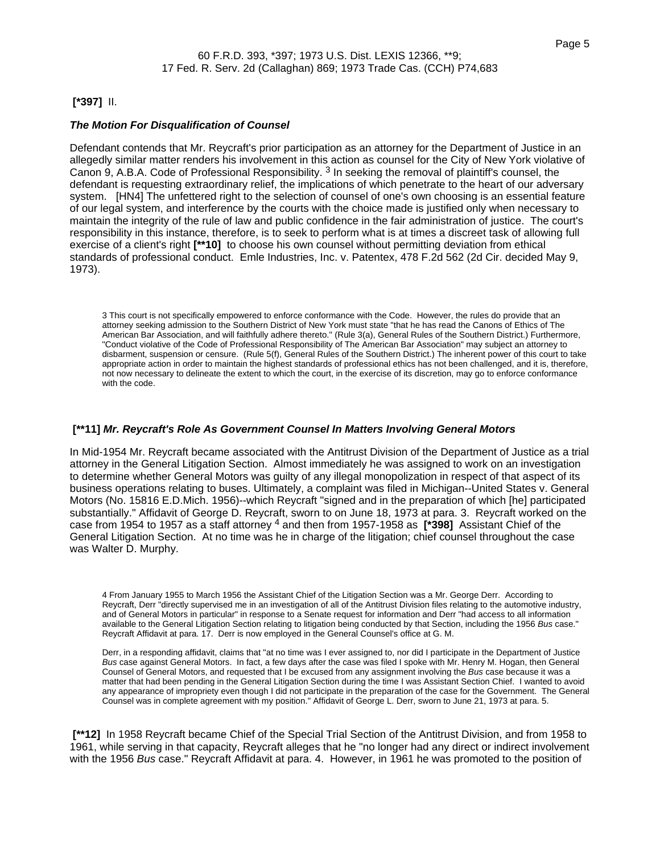## **[\*397]** II.

### **The Motion For Disqualification of Counsel**

Defendant contends that Mr. Reycraft's prior participation as an attorney for the Department of Justice in an allegedly similar matter renders his involvement in this action as counsel for the City of New York violative of Canon 9, A.B.A. Code of Professional Responsibility. <sup>3</sup> In seeking the removal of plaintiff's counsel, the defendant is requesting extraordinary relief, the implications of which penetrate to the heart of our adversary system. [HN4] The unfettered right to the selection of counsel of one's own choosing is an essential feature of our legal system, and interference by the courts with the choice made is justified only when necessary to maintain the integrity of the rule of law and public confidence in the fair administration of justice. The court's responsibility in this instance, therefore, is to seek to perform what is at times a discreet task of allowing full exercise of a client's right **[\*\*10]** to choose his own counsel without permitting deviation from ethical standards of professional conduct. Emle Industries, Inc. v. Patentex, 478 F.2d 562 (2d Cir. decided May 9, 1973).

3 This court is not specifically empowered to enforce conformance with the Code. However, the rules do provide that an attorney seeking admission to the Southern District of New York must state "that he has read the Canons of Ethics of The American Bar Association, and will faithfully adhere thereto." (Rule 3(a), General Rules of the Southern District.) Furthermore, "Conduct violative of the Code of Professional Responsibility of The American Bar Association" may subject an attorney to disbarment, suspension or censure. (Rule 5(f), General Rules of the Southern District.) The inherent power of this court to take appropriate action in order to maintain the highest standards of professional ethics has not been challenged, and it is, therefore, not now necessary to delineate the extent to which the court, in the exercise of its discretion, may go to enforce conformance with the code.

### **[\*\*11] Mr. Reycraft's Role As Government Counsel In Matters Involving General Motors**

In Mid-1954 Mr. Reycraft became associated with the Antitrust Division of the Department of Justice as a trial attorney in the General Litigation Section. Almost immediately he was assigned to work on an investigation to determine whether General Motors was guilty of any illegal monopolization in respect of that aspect of its business operations relating to buses. Ultimately, a complaint was filed in Michigan--United States v. General Motors (No. 15816 E.D.Mich. 1956)--which Reycraft "signed and in the preparation of which [he] participated substantially." Affidavit of George D. Reycraft, sworn to on June 18, 1973 at para. 3. Reycraft worked on the case from 1954 to 1957 as a staff attorney 4 and then from 1957-1958 as **[\*398]** Assistant Chief of the General Litigation Section. At no time was he in charge of the litigation; chief counsel throughout the case was Walter D. Murphy.

4 From January 1955 to March 1956 the Assistant Chief of the Litigation Section was a Mr. George Derr. According to Reycraft, Derr "directly supervised me in an investigation of all of the Antitrust Division files relating to the automotive industry, and of General Motors in particular" in response to a Senate request for information and Derr "had access to all information available to the General Litigation Section relating to litigation being conducted by that Section, including the 1956 Bus case." Reycraft Affidavit at para. 17. Derr is now employed in the General Counsel's office at G. M.

Derr, in a responding affidavit, claims that "at no time was I ever assigned to, nor did I participate in the Department of Justice Bus case against General Motors. In fact, a few days after the case was filed I spoke with Mr. Henry M. Hogan, then General Counsel of General Motors, and requested that I be excused from any assignment involving the Bus case because it was a matter that had been pending in the General Litigation Section during the time I was Assistant Section Chief. I wanted to avoid any appearance of impropriety even though I did not participate in the preparation of the case for the Government. The General Counsel was in complete agreement with my position." Affidavit of George L. Derr, sworn to June 21, 1973 at para. 5.

**[\*\*12]** In 1958 Reycraft became Chief of the Special Trial Section of the Antitrust Division, and from 1958 to 1961, while serving in that capacity, Reycraft alleges that he "no longer had any direct or indirect involvement with the 1956 Bus case." Reycraft Affidavit at para. 4. However, in 1961 he was promoted to the position of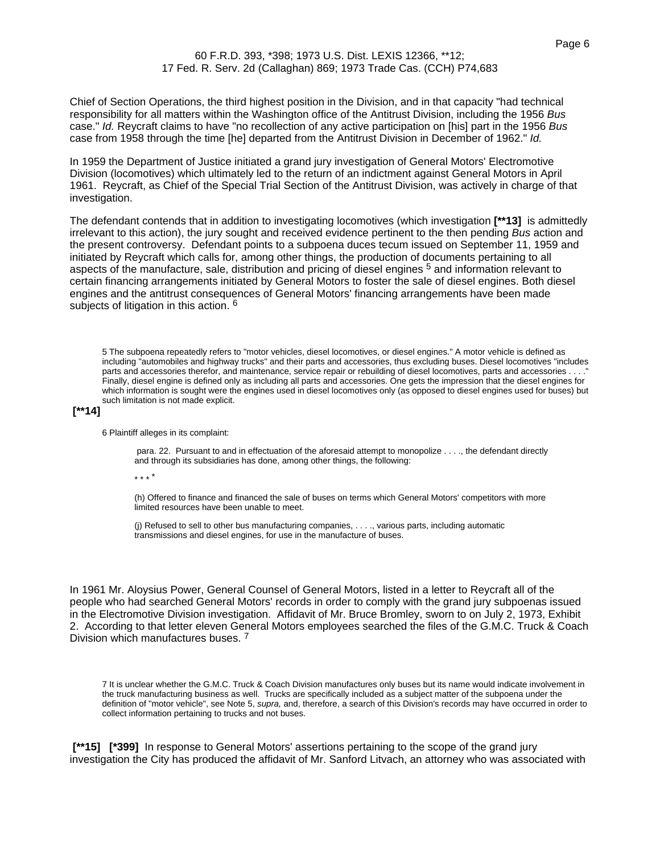Chief of Section Operations, the third highest position in the Division, and in that capacity "had technical responsibility for all matters within the Washington office of the Antitrust Division, including the 1956 Bus case." Id. Reycraft claims to have "no recollection of any active participation on [his] part in the 1956 Bus case from 1958 through the time [he] departed from the Antitrust Division in December of 1962." Id.

In 1959 the Department of Justice initiated a grand jury investigation of General Motors' Electromotive Division (locomotives) which ultimately led to the return of an indictment against General Motors in April 1961. Reycraft, as Chief of the Special Trial Section of the Antitrust Division, was actively in charge of that investigation.

The defendant contends that in addition to investigating locomotives (which investigation **[\*\*13]** is admittedly irrelevant to this action), the jury sought and received evidence pertinent to the then pending Bus action and the present controversy. Defendant points to a subpoena duces tecum issued on September 11, 1959 and initiated by Reycraft which calls for, among other things, the production of documents pertaining to all aspects of the manufacture, sale, distribution and pricing of diesel engines <sup>5</sup> and information relevant to certain financing arrangements initiated by General Motors to foster the sale of diesel engines. Both diesel engines and the antitrust consequences of General Motors' financing arrangements have been made subjects of litigation in this action. <sup>6</sup>

5 The subpoena repeatedly refers to "motor vehicles, diesel locomotives, or diesel engines." A motor vehicle is defined as including "automobiles and highway trucks" and their parts and accessories, thus excluding buses. Diesel locomotives "includes parts and accessories therefor, and maintenance, service repair or rebuilding of diesel locomotives, parts and accessories . . . . Finally, diesel engine is defined only as including all parts and accessories. One gets the impression that the diesel engines for which information is sought were the engines used in diesel locomotives only (as opposed to diesel engines used for buses) but such limitation is not made explicit.

### **[\*\*14]**

6 Plaintiff alleges in its complaint:

para. 22. Pursuant to and in effectuation of the aforesaid attempt to monopolize . . . ., the defendant directly and through its subsidiaries has done, among other things, the following:

\* \* \* \*

(h) Offered to finance and financed the sale of buses on terms which General Motors' competitors with more limited resources have been unable to meet.

(j) Refused to sell to other bus manufacturing companies, . . . ., various parts, including automatic transmissions and diesel engines, for use in the manufacture of buses.

In 1961 Mr. Aloysius Power, General Counsel of General Motors, listed in a letter to Reycraft all of the people who had searched General Motors' records in order to comply with the grand jury subpoenas issued in the Electromotive Division investigation. Affidavit of Mr. Bruce Bromley, sworn to on July 2, 1973, Exhibit 2. According to that letter eleven General Motors employees searched the files of the G.M.C. Truck & Coach Division which manufactures buses. 7

7 It is unclear whether the G.M.C. Truck & Coach Division manufactures only buses but its name would indicate involvement in the truck manufacturing business as well. Trucks are specifically included as a subject matter of the subpoena under the definition of "motor vehicle", see Note 5, supra, and, therefore, a search of this Division's records may have occurred in order to collect information pertaining to trucks and not buses.

**[\*\*15] [\*399]** In response to General Motors' assertions pertaining to the scope of the grand jury investigation the City has produced the affidavit of Mr. Sanford Litvach, an attorney who was associated with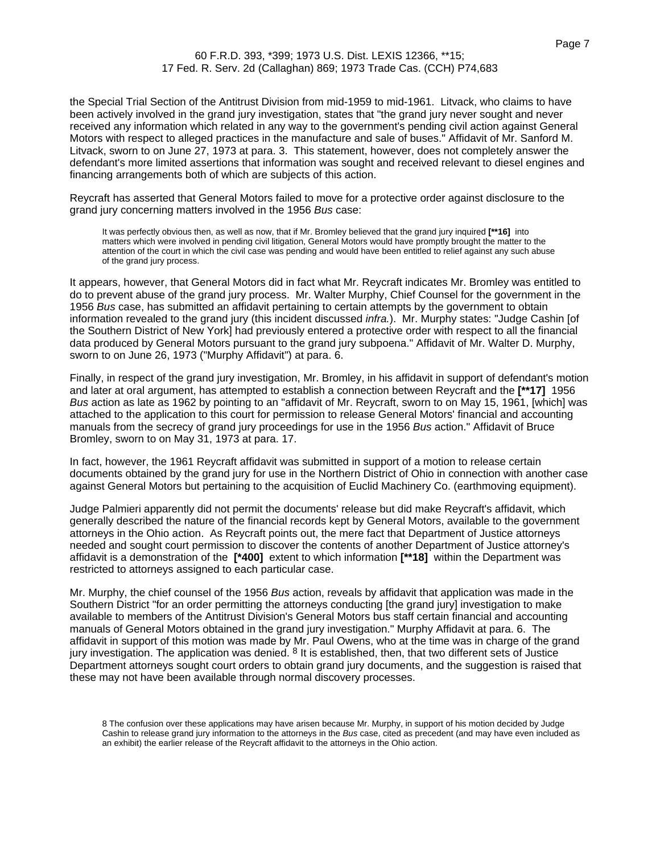the Special Trial Section of the Antitrust Division from mid-1959 to mid-1961. Litvack, who claims to have been actively involved in the grand jury investigation, states that "the grand jury never sought and never received any information which related in any way to the government's pending civil action against General Motors with respect to alleged practices in the manufacture and sale of buses." Affidavit of Mr. Sanford M. Litvack, sworn to on June 27, 1973 at para. 3. This statement, however, does not completely answer the defendant's more limited assertions that information was sought and received relevant to diesel engines and financing arrangements both of which are subjects of this action.

Reycraft has asserted that General Motors failed to move for a protective order against disclosure to the grand jury concerning matters involved in the 1956 Bus case:

It was perfectly obvious then, as well as now, that if Mr. Bromley believed that the grand jury inquired **[\*\*16]** into matters which were involved in pending civil litigation, General Motors would have promptly brought the matter to the attention of the court in which the civil case was pending and would have been entitled to relief against any such abuse of the grand jury process.

It appears, however, that General Motors did in fact what Mr. Reycraft indicates Mr. Bromley was entitled to do to prevent abuse of the grand jury process. Mr. Walter Murphy, Chief Counsel for the government in the 1956 Bus case, has submitted an affidavit pertaining to certain attempts by the government to obtain information revealed to the grand jury (this incident discussed *infra.*). Mr. Murphy states: "Judge Cashin [of the Southern District of New York] had previously entered a protective order with respect to all the financial data produced by General Motors pursuant to the grand jury subpoena." Affidavit of Mr. Walter D. Murphy, sworn to on June 26, 1973 ("Murphy Affidavit") at para. 6.

Finally, in respect of the grand jury investigation, Mr. Bromley, in his affidavit in support of defendant's motion and later at oral argument, has attempted to establish a connection between Reycraft and the **[\*\*17]** 1956 Bus action as late as 1962 by pointing to an "affidavit of Mr. Reycraft, sworn to on May 15, 1961, [which] was attached to the application to this court for permission to release General Motors' financial and accounting manuals from the secrecy of grand jury proceedings for use in the 1956 Bus action." Affidavit of Bruce Bromley, sworn to on May 31, 1973 at para. 17.

In fact, however, the 1961 Reycraft affidavit was submitted in support of a motion to release certain documents obtained by the grand jury for use in the Northern District of Ohio in connection with another case against General Motors but pertaining to the acquisition of Euclid Machinery Co. (earthmoving equipment).

Judge Palmieri apparently did not permit the documents' release but did make Reycraft's affidavit, which generally described the nature of the financial records kept by General Motors, available to the government attorneys in the Ohio action. As Reycraft points out, the mere fact that Department of Justice attorneys needed and sought court permission to discover the contents of another Department of Justice attorney's affidavit is a demonstration of the **[\*400]** extent to which information **[\*\*18]** within the Department was restricted to attorneys assigned to each particular case.

Mr. Murphy, the chief counsel of the 1956 Bus action, reveals by affidavit that application was made in the Southern District "for an order permitting the attorneys conducting [the grand jury] investigation to make available to members of the Antitrust Division's General Motors bus staff certain financial and accounting manuals of General Motors obtained in the grand jury investigation." Murphy Affidavit at para. 6. The affidavit in support of this motion was made by Mr. Paul Owens, who at the time was in charge of the grand jury investigation. The application was denied. <sup>8</sup> It is established, then, that two different sets of Justice Department attorneys sought court orders to obtain grand jury documents, and the suggestion is raised that these may not have been available through normal discovery processes.

8 The confusion over these applications may have arisen because Mr. Murphy, in support of his motion decided by Judge Cashin to release grand jury information to the attorneys in the Bus case, cited as precedent (and may have even included as an exhibit) the earlier release of the Reycraft affidavit to the attorneys in the Ohio action.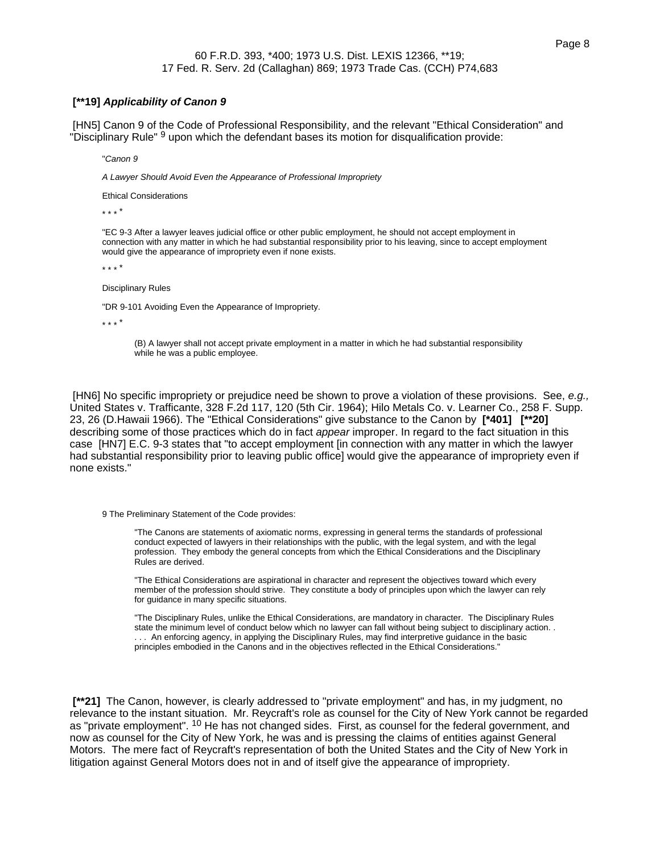#### **[\*\*19] Applicability of Canon 9**

[HN5] Canon 9 of the Code of Professional Responsibility, and the relevant "Ethical Consideration" and "Disciplinary Rule" 9 upon which the defendant bases its motion for disqualification provide:

"Canon 9

A Lawyer Should Avoid Even the Appearance of Professional Impropriety

Ethical Considerations

\* \* \* \*

"EC 9-3 After a lawyer leaves judicial office or other public employment, he should not accept employment in connection with any matter in which he had substantial responsibility prior to his leaving, since to accept employment would give the appearance of impropriety even if none exists.

\* \* \* \*

Disciplinary Rules

"DR 9-101 Avoiding Even the Appearance of Impropriety.

\* \* \* \*

(B) A lawyer shall not accept private employment in a matter in which he had substantial responsibility while he was a public employee.

[HN6] No specific impropriety or prejudice need be shown to prove a violation of these provisions. See, e.g., United States v. Trafficante, 328 F.2d 117, 120 (5th Cir. 1964); Hilo Metals Co. v. Learner Co., 258 F. Supp. 23, 26 (D.Hawaii 1966). The "Ethical Considerations" give substance to the Canon by **[\*401] [\*\*20]** describing some of those practices which do in fact appear improper. In regard to the fact situation in this case [HN7] E.C. 9-3 states that "to accept employment [in connection with any matter in which the lawyer had substantial responsibility prior to leaving public office] would give the appearance of impropriety even if none exists."

9 The Preliminary Statement of the Code provides:

"The Canons are statements of axiomatic norms, expressing in general terms the standards of professional conduct expected of lawyers in their relationships with the public, with the legal system, and with the legal profession. They embody the general concepts from which the Ethical Considerations and the Disciplinary Rules are derived.

"The Ethical Considerations are aspirational in character and represent the objectives toward which every member of the profession should strive. They constitute a body of principles upon which the lawyer can rely for guidance in many specific situations.

"The Disciplinary Rules, unlike the Ethical Considerations, are mandatory in character. The Disciplinary Rules state the minimum level of conduct below which no lawyer can fall without being subject to disciplinary action. . . . . An enforcing agency, in applying the Disciplinary Rules, may find interpretive guidance in the basic principles embodied in the Canons and in the objectives reflected in the Ethical Considerations."

**[\*\*21]** The Canon, however, is clearly addressed to "private employment" and has, in my judgment, no relevance to the instant situation. Mr. Reycraft's role as counsel for the City of New York cannot be regarded as "private employment". <sup>10</sup> He has not changed sides. First, as counsel for the federal government, and now as counsel for the City of New York, he was and is pressing the claims of entities against General Motors. The mere fact of Reycraft's representation of both the United States and the City of New York in litigation against General Motors does not in and of itself give the appearance of impropriety.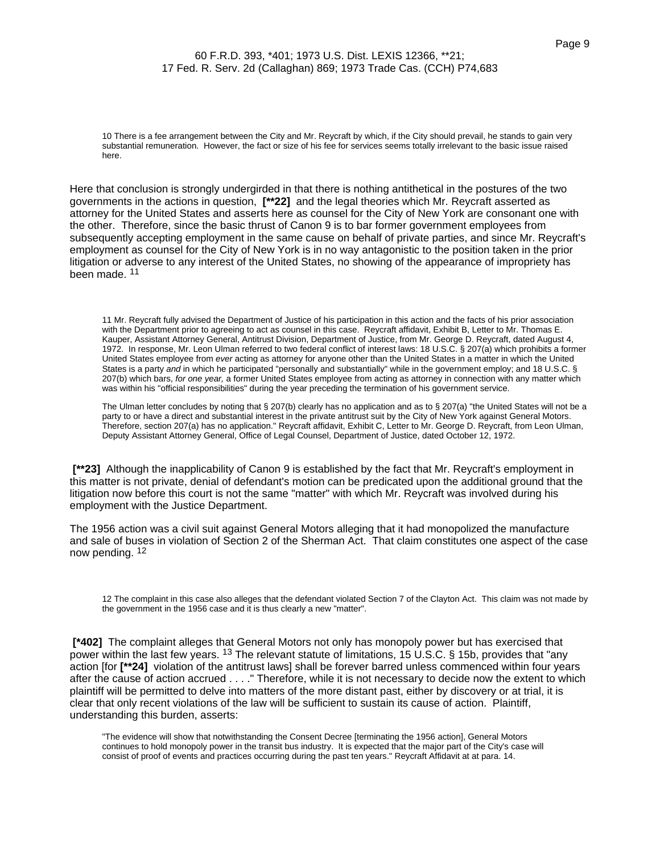10 There is a fee arrangement between the City and Mr. Reycraft by which, if the City should prevail, he stands to gain very substantial remuneration. However, the fact or size of his fee for services seems totally irrelevant to the basic issue raised here.

Here that conclusion is strongly undergirded in that there is nothing antithetical in the postures of the two governments in the actions in question, **[\*\*22]** and the legal theories which Mr. Reycraft asserted as attorney for the United States and asserts here as counsel for the City of New York are consonant one with the other. Therefore, since the basic thrust of Canon 9 is to bar former government employees from subsequently accepting employment in the same cause on behalf of private parties, and since Mr. Reycraft's employment as counsel for the City of New York is in no way antagonistic to the position taken in the prior litigation or adverse to any interest of the United States, no showing of the appearance of impropriety has been made. <sup>11</sup>

11 Mr. Reycraft fully advised the Department of Justice of his participation in this action and the facts of his prior association with the Department prior to agreeing to act as counsel in this case. Reycraft affidavit, Exhibit B, Letter to Mr. Thomas E. Kauper, Assistant Attorney General, Antitrust Division, Department of Justice, from Mr. George D. Reycraft, dated August 4, 1972. In response, Mr. Leon Ulman referred to two federal conflict of interest laws: 18 U.S.C. § 207(a) which prohibits a former United States employee from ever acting as attorney for anyone other than the United States in a matter in which the United States is a party and in which he participated "personally and substantially" while in the government employ; and 18 U.S.C. § 207(b) which bars, for one year, a former United States employee from acting as attorney in connection with any matter which was within his "official responsibilities" during the year preceding the termination of his government service.

The Ulman letter concludes by noting that § 207(b) clearly has no application and as to § 207(a) "the United States will not be a party to or have a direct and substantial interest in the private antitrust suit by the City of New York against General Motors. Therefore, section 207(a) has no application." Reycraft affidavit, Exhibit C, Letter to Mr. George D. Reycraft, from Leon Ulman, Deputy Assistant Attorney General, Office of Legal Counsel, Department of Justice, dated October 12, 1972.

**[\*\*23]** Although the inapplicability of Canon 9 is established by the fact that Mr. Reycraft's employment in this matter is not private, denial of defendant's motion can be predicated upon the additional ground that the litigation now before this court is not the same "matter" with which Mr. Reycraft was involved during his employment with the Justice Department.

The 1956 action was a civil suit against General Motors alleging that it had monopolized the manufacture and sale of buses in violation of Section 2 of the Sherman Act. That claim constitutes one aspect of the case now pending. 12

12 The complaint in this case also alleges that the defendant violated Section 7 of the Clayton Act. This claim was not made by the government in the 1956 case and it is thus clearly a new "matter".

**[\*402]** The complaint alleges that General Motors not only has monopoly power but has exercised that power within the last few years. <sup>13</sup> The relevant statute of limitations, 15 U.S.C. § 15b, provides that "any action [for **[\*\*24]** violation of the antitrust laws] shall be forever barred unless commenced within four years after the cause of action accrued . . . ." Therefore, while it is not necessary to decide now the extent to which plaintiff will be permitted to delve into matters of the more distant past, either by discovery or at trial, it is clear that only recent violations of the law will be sufficient to sustain its cause of action. Plaintiff, understanding this burden, asserts:

"The evidence will show that notwithstanding the Consent Decree [terminating the 1956 action], General Motors continues to hold monopoly power in the transit bus industry. It is expected that the major part of the City's case will consist of proof of events and practices occurring during the past ten years." Reycraft Affidavit at at para. 14.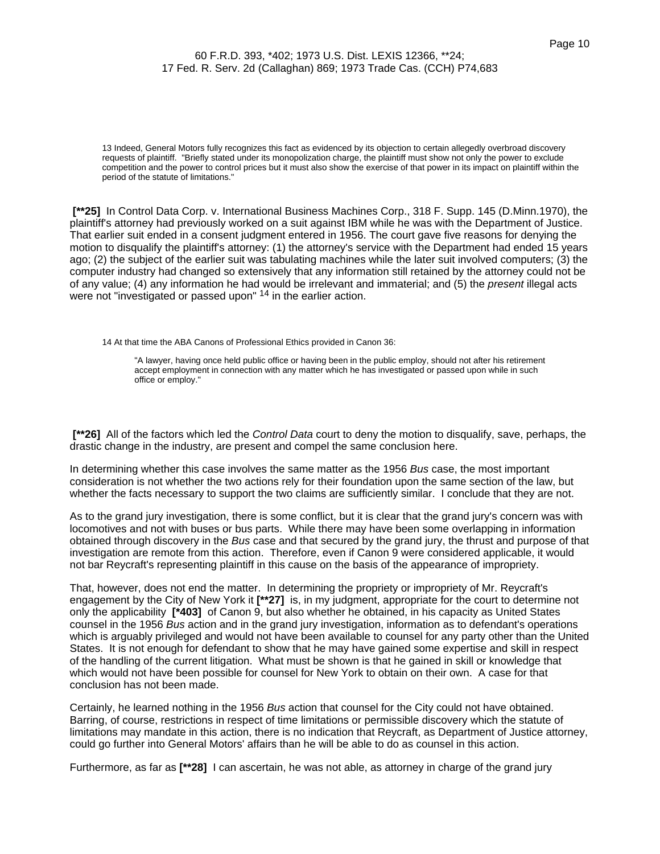13 Indeed, General Motors fully recognizes this fact as evidenced by its objection to certain allegedly overbroad discovery requests of plaintiff. "Briefly stated under its monopolization charge, the plaintiff must show not only the power to exclude competition and the power to control prices but it must also show the exercise of that power in its impact on plaintiff within the period of the statute of limitations."

**[\*\*25]** In Control Data Corp. v. International Business Machines Corp., 318 F. Supp. 145 (D.Minn.1970), the plaintiff's attorney had previously worked on a suit against IBM while he was with the Department of Justice. That earlier suit ended in a consent judgment entered in 1956. The court gave five reasons for denying the motion to disqualify the plaintiff's attorney: (1) the attorney's service with the Department had ended 15 years ago; (2) the subject of the earlier suit was tabulating machines while the later suit involved computers; (3) the computer industry had changed so extensively that any information still retained by the attorney could not be of any value; (4) any information he had would be irrelevant and immaterial; and (5) the present illegal acts were not "investigated or passed upon" <sup>14</sup> in the earlier action.

14 At that time the ABA Canons of Professional Ethics provided in Canon 36:

"A lawyer, having once held public office or having been in the public employ, should not after his retirement accept employment in connection with any matter which he has investigated or passed upon while in such office or employ."

**[\*\*26]** All of the factors which led the Control Data court to deny the motion to disqualify, save, perhaps, the drastic change in the industry, are present and compel the same conclusion here.

In determining whether this case involves the same matter as the 1956 Bus case, the most important consideration is not whether the two actions rely for their foundation upon the same section of the law, but whether the facts necessary to support the two claims are sufficiently similar. I conclude that they are not.

As to the grand jury investigation, there is some conflict, but it is clear that the grand jury's concern was with locomotives and not with buses or bus parts. While there may have been some overlapping in information obtained through discovery in the Bus case and that secured by the grand jury, the thrust and purpose of that investigation are remote from this action. Therefore, even if Canon 9 were considered applicable, it would not bar Reycraft's representing plaintiff in this cause on the basis of the appearance of impropriety.

That, however, does not end the matter. In determining the propriety or impropriety of Mr. Reycraft's engagement by the City of New York it **[\*\*27]** is, in my judgment, appropriate for the court to determine not only the applicability **[\*403]** of Canon 9, but also whether he obtained, in his capacity as United States counsel in the 1956 Bus action and in the grand jury investigation, information as to defendant's operations which is arguably privileged and would not have been available to counsel for any party other than the United States. It is not enough for defendant to show that he may have gained some expertise and skill in respect of the handling of the current litigation. What must be shown is that he gained in skill or knowledge that which would not have been possible for counsel for New York to obtain on their own. A case for that conclusion has not been made.

Certainly, he learned nothing in the 1956 Bus action that counsel for the City could not have obtained. Barring, of course, restrictions in respect of time limitations or permissible discovery which the statute of limitations may mandate in this action, there is no indication that Reycraft, as Department of Justice attorney, could go further into General Motors' affairs than he will be able to do as counsel in this action.

Furthermore, as far as **[\*\*28]** I can ascertain, he was not able, as attorney in charge of the grand jury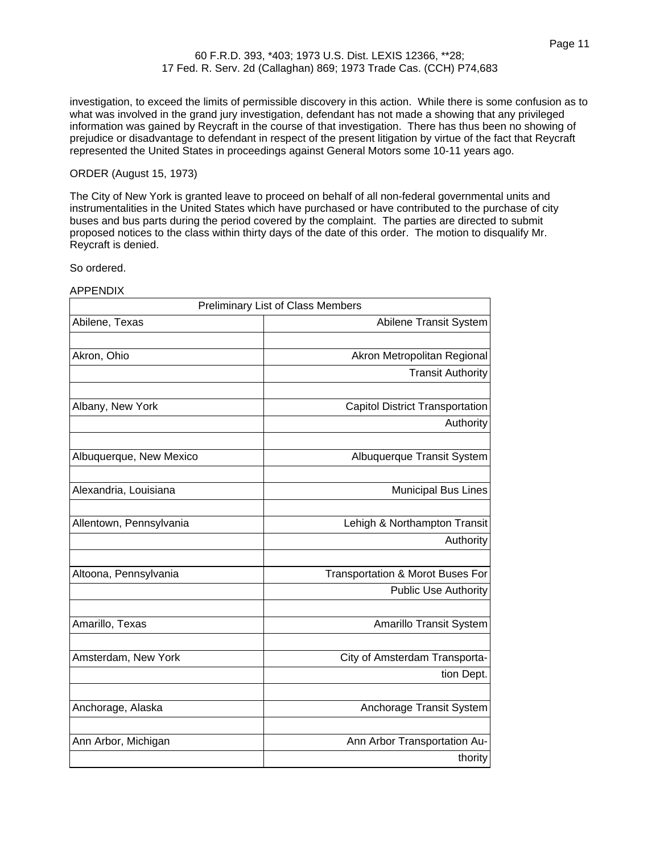investigation, to exceed the limits of permissible discovery in this action. While there is some confusion as to what was involved in the grand jury investigation, defendant has not made a showing that any privileged information was gained by Reycraft in the course of that investigation. There has thus been no showing of prejudice or disadvantage to defendant in respect of the present litigation by virtue of the fact that Reycraft represented the United States in proceedings against General Motors some 10-11 years ago.

### ORDER (August 15, 1973)

The City of New York is granted leave to proceed on behalf of all non-federal governmental units and instrumentalities in the United States which have purchased or have contributed to the purchase of city buses and bus parts during the period covered by the complaint. The parties are directed to submit proposed notices to the class within thirty days of the date of this order. The motion to disqualify Mr. Reycraft is denied.

So ordered.

APPENDIX

|                         | <b>Preliminary List of Class Members</b> |
|-------------------------|------------------------------------------|
| Abilene, Texas          | Abilene Transit System                   |
|                         |                                          |
| Akron, Ohio             | Akron Metropolitan Regional              |
|                         | <b>Transit Authority</b>                 |
|                         |                                          |
| Albany, New York        | <b>Capitol District Transportation</b>   |
|                         | Authority                                |
|                         |                                          |
| Albuquerque, New Mexico | Albuquerque Transit System               |
|                         |                                          |
| Alexandria, Louisiana   | <b>Municipal Bus Lines</b>               |
|                         |                                          |
| Allentown, Pennsylvania | Lehigh & Northampton Transit             |
|                         | Authority                                |
| Altoona, Pennsylvania   | Transportation & Morot Buses For         |
|                         | <b>Public Use Authority</b>              |
|                         |                                          |
| Amarillo, Texas         | Amarillo Transit System                  |
|                         |                                          |
| Amsterdam, New York     | City of Amsterdam Transporta-            |
|                         | tion Dept.                               |
|                         |                                          |
| Anchorage, Alaska       | Anchorage Transit System                 |
|                         |                                          |
| Ann Arbor, Michigan     | Ann Arbor Transportation Au-             |
|                         | thority                                  |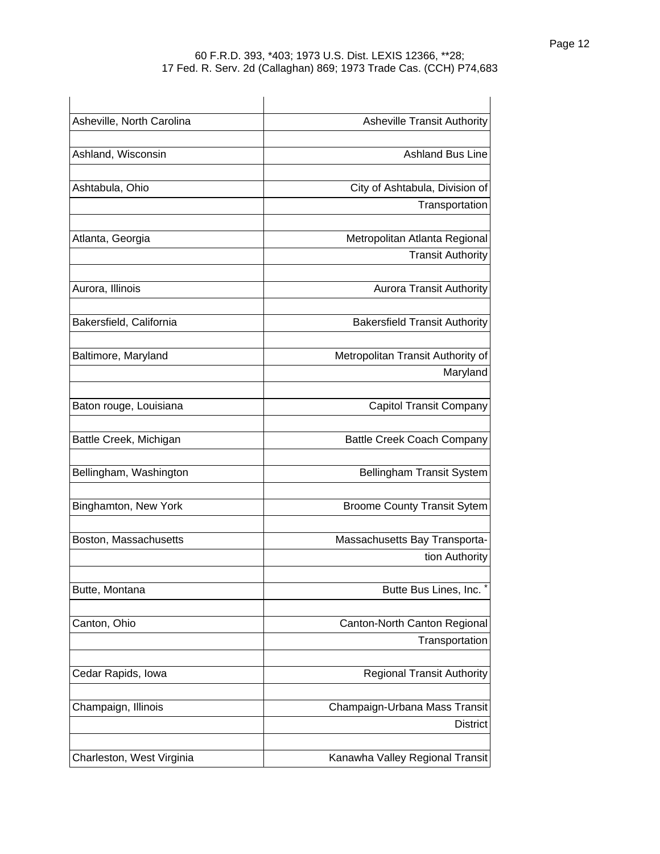| Asheville, North Carolina | <b>Asheville Transit Authority</b>   |
|---------------------------|--------------------------------------|
| Ashland, Wisconsin        | <b>Ashland Bus Line</b>              |
|                           |                                      |
| Ashtabula, Ohio           | City of Ashtabula, Division of       |
|                           | Transportation                       |
| Atlanta, Georgia          | Metropolitan Atlanta Regional        |
|                           | <b>Transit Authority</b>             |
| Aurora, Illinois          | <b>Aurora Transit Authority</b>      |
| Bakersfield, California   | <b>Bakersfield Transit Authority</b> |
| Baltimore, Maryland       | Metropolitan Transit Authority of    |
|                           | Maryland                             |
| Baton rouge, Louisiana    | <b>Capitol Transit Company</b>       |
| Battle Creek, Michigan    | <b>Battle Creek Coach Company</b>    |
| Bellingham, Washington    | Bellingham Transit System            |
| Binghamton, New York      | <b>Broome County Transit Sytem</b>   |
| Boston, Massachusetts     | Massachusetts Bay Transporta-        |
|                           | tion Authority                       |
| Butte, Montana            | Butte Bus Lines, Inc.                |
| Canton, Ohio              | Canton-North Canton Regional         |
|                           | Transportation                       |
| Cedar Rapids, Iowa        | <b>Regional Transit Authority</b>    |
| Champaign, Illinois       | Champaign-Urbana Mass Transit        |
|                           | <b>District</b>                      |
| Charleston, West Virginia | Kanawha Valley Regional Transit      |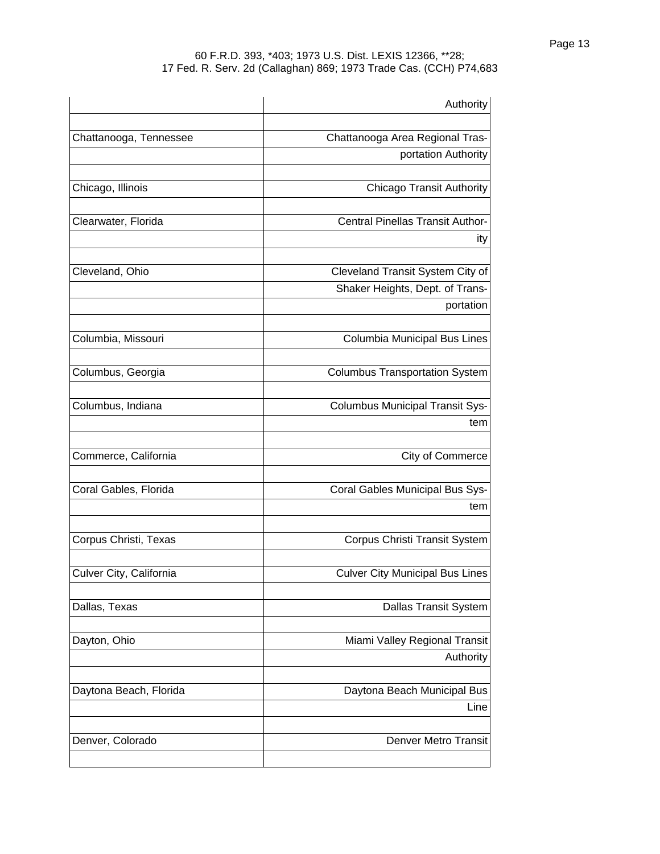|                         | Authority                              |
|-------------------------|----------------------------------------|
|                         | Chattanooga Area Regional Tras-        |
| Chattanooga, Tennessee  | portation Authority                    |
|                         |                                        |
| Chicago, Illinois       | <b>Chicago Transit Authority</b>       |
| Clearwater, Florida     | Central Pinellas Transit Author-       |
|                         | ity                                    |
|                         |                                        |
| Cleveland, Ohio         | Cleveland Transit System City of       |
|                         | Shaker Heights, Dept. of Trans-        |
|                         | portation                              |
| Columbia, Missouri      | Columbia Municipal Bus Lines           |
| Columbus, Georgia       | <b>Columbus Transportation System</b>  |
| Columbus, Indiana       | <b>Columbus Municipal Transit Sys-</b> |
|                         | tem                                    |
| Commerce, California    | City of Commerce                       |
| Coral Gables, Florida   | Coral Gables Municipal Bus Sys-        |
|                         | tem                                    |
| Corpus Christi, Texas   | Corpus Christi Transit System          |
| Culver City, California | <b>Culver City Municipal Bus Lines</b> |
| Dallas, Texas           | <b>Dallas Transit System</b>           |
| Dayton, Ohio            | Miami Valley Regional Transit          |
|                         | Authority                              |
| Daytona Beach, Florida  | Daytona Beach Municipal Bus            |
|                         | Line                                   |
| Denver, Colorado        | <b>Denver Metro Transit</b>            |
|                         |                                        |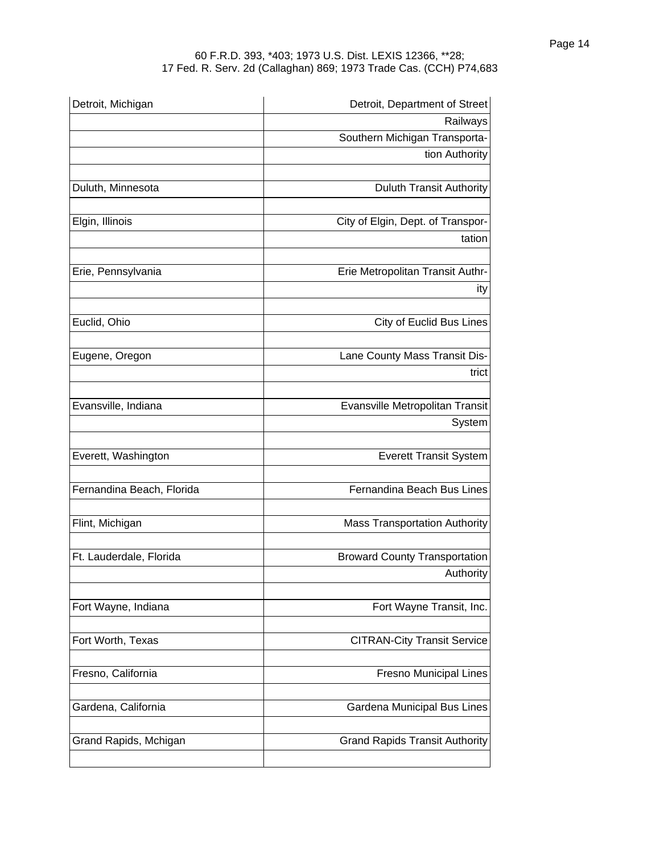| Detroit, Michigan         | Detroit, Department of Street         |
|---------------------------|---------------------------------------|
|                           | Railways                              |
|                           | Southern Michigan Transporta-         |
|                           | tion Authority                        |
| Duluth, Minnesota         | <b>Duluth Transit Authority</b>       |
| Elgin, Illinois           | City of Elgin, Dept. of Transpor-     |
|                           | tation                                |
| Erie, Pennsylvania        | Erie Metropolitan Transit Authr-      |
|                           | ity                                   |
| Euclid, Ohio              | <b>City of Euclid Bus Lines</b>       |
| Eugene, Oregon            | Lane County Mass Transit Dis-         |
|                           | trict                                 |
| Evansville, Indiana       | Evansville Metropolitan Transit       |
|                           | System                                |
| Everett, Washington       | <b>Everett Transit System</b>         |
| Fernandina Beach, Florida | Fernandina Beach Bus Lines            |
| Flint, Michigan           | <b>Mass Transportation Authority</b>  |
| Ft. Lauderdale, Florida   | <b>Broward County Transportation</b>  |
|                           | Authority                             |
| Fort Wayne, Indiana       | Fort Wayne Transit, Inc.              |
| Fort Worth, Texas         | <b>CITRAN-City Transit Service</b>    |
| Fresno, California        | Fresno Municipal Lines                |
| Gardena, California       | Gardena Municipal Bus Lines           |
| Grand Rapids, Mchigan     | <b>Grand Rapids Transit Authority</b> |
|                           |                                       |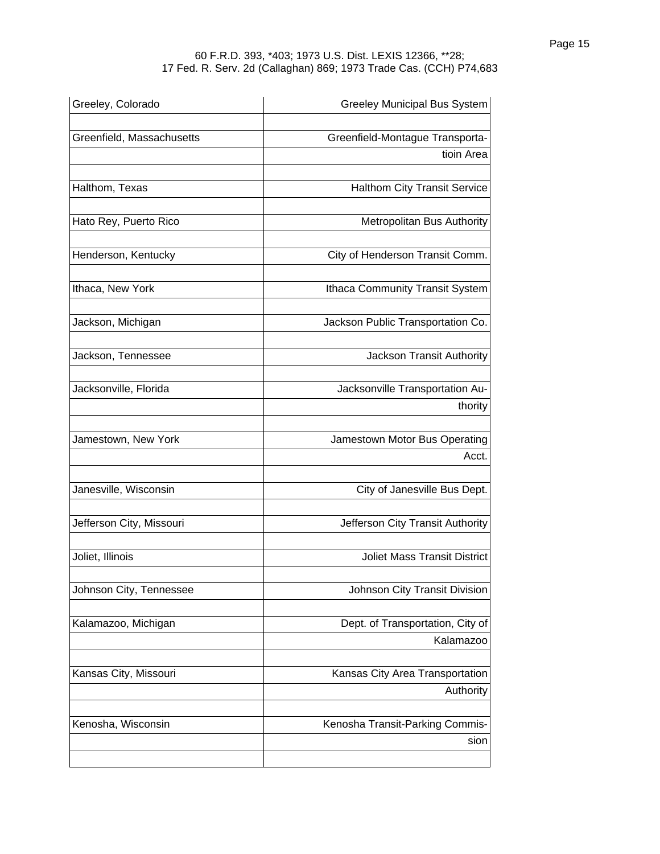| Greeley, Colorado         | <b>Greeley Municipal Bus System</b>           |
|---------------------------|-----------------------------------------------|
| Greenfield, Massachusetts | Greenfield-Montague Transporta-               |
|                           | tioin Area                                    |
| Halthom, Texas            | <b>Halthom City Transit Service</b>           |
| Hato Rey, Puerto Rico     | Metropolitan Bus Authority                    |
| Henderson, Kentucky       | City of Henderson Transit Comm.               |
| Ithaca, New York          | Ithaca Community Transit System               |
| Jackson, Michigan         | Jackson Public Transportation Co.             |
| Jackson, Tennessee        | Jackson Transit Authority                     |
| Jacksonville, Florida     | Jacksonville Transportation Au-<br>thority    |
| Jamestown, New York       | Jamestown Motor Bus Operating<br>Acct.        |
| Janesville, Wisconsin     | City of Janesville Bus Dept.                  |
| Jefferson City, Missouri  | Jefferson City Transit Authority              |
| Joliet, Illinois          | <b>Joliet Mass Transit District</b>           |
| Johnson City, Tennessee   | Johnson City Transit Division                 |
| Kalamazoo, Michigan       | Dept. of Transportation, City of<br>Kalamazoo |
| Kansas City, Missouri     | Kansas City Area Transportation<br>Authority  |
| Kenosha, Wisconsin        | Kenosha Transit-Parking Commis-<br>sion       |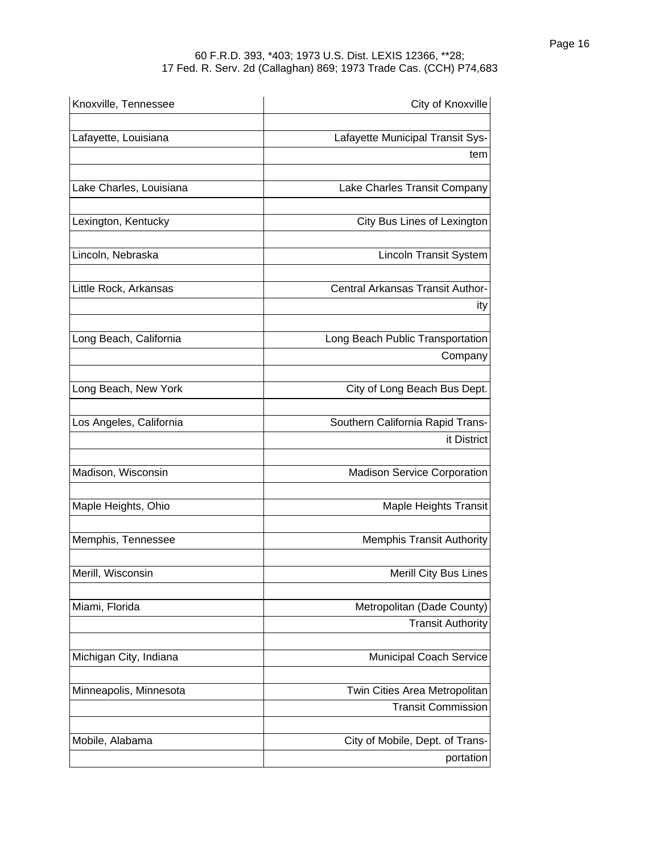| Knoxville, Tennessee    | City of Knoxville                           |
|-------------------------|---------------------------------------------|
| Lafayette, Louisiana    | Lafayette Municipal Transit Sys-            |
|                         | tem                                         |
| Lake Charles, Louisiana | Lake Charles Transit Company                |
| Lexington, Kentucky     | City Bus Lines of Lexington                 |
| Lincoln, Nebraska       | <b>Lincoln Transit System</b>               |
| Little Rock, Arkansas   | Central Arkansas Transit Author-            |
|                         | ity                                         |
| Long Beach, California  | Long Beach Public Transportation<br>Company |
| Long Beach, New York    | City of Long Beach Bus Dept.                |
| Los Angeles, California | Southern California Rapid Trans-            |
|                         | it District                                 |
| Madison, Wisconsin      | <b>Madison Service Corporation</b>          |
| Maple Heights, Ohio     | <b>Maple Heights Transit</b>                |
| Memphis, Tennessee      | <b>Memphis Transit Authority</b>            |
| Merill, Wisconsin       | <b>Merill City Bus Lines</b>                |
| Miami, Florida          | Metropolitan (Dade County)                  |
|                         | <b>Transit Authority</b>                    |
| Michigan City, Indiana  | <b>Municipal Coach Service</b>              |
| Minneapolis, Minnesota  | Twin Cities Area Metropolitan               |
|                         | <b>Transit Commission</b>                   |
| Mobile, Alabama         | City of Mobile, Dept. of Trans-             |
|                         | portation                                   |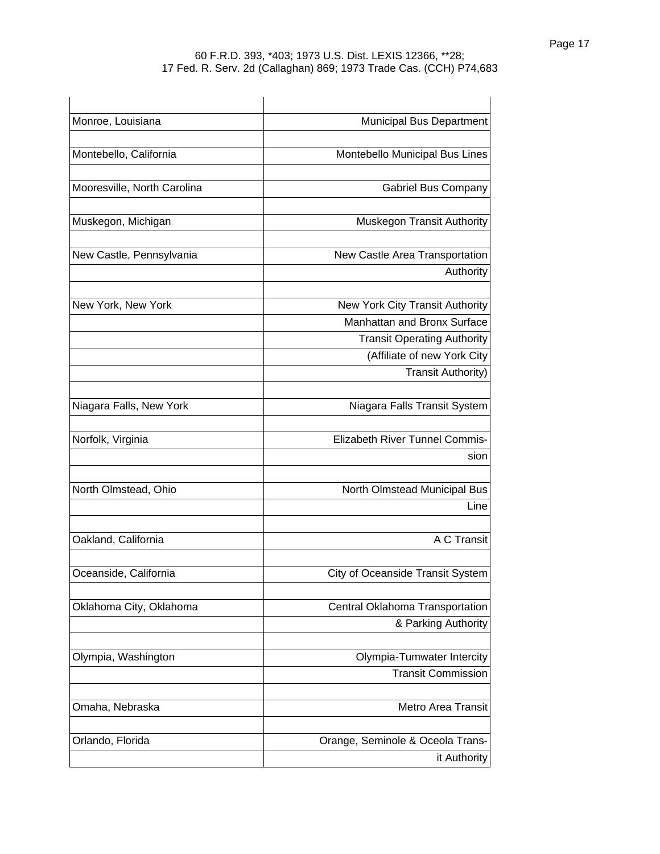| Monroe, Louisiana           | <b>Municipal Bus Department</b>                                   |
|-----------------------------|-------------------------------------------------------------------|
| Montebello, California      | Montebello Municipal Bus Lines                                    |
| Mooresville, North Carolina | <b>Gabriel Bus Company</b>                                        |
| Muskegon, Michigan          | Muskegon Transit Authority                                        |
| New Castle, Pennsylvania    | New Castle Area Transportation<br>Authority                       |
| New York, New York          | New York City Transit Authority<br>Manhattan and Bronx Surface    |
|                             | <b>Transit Operating Authority</b><br>(Affiliate of new York City |
|                             | <b>Transit Authority)</b>                                         |
| Niagara Falls, New York     | Niagara Falls Transit System                                      |
| Norfolk, Virginia           | <b>Elizabeth River Tunnel Commis-</b><br>sion                     |
| North Olmstead, Ohio        | North Olmstead Municipal Bus<br>Line                              |
| Oakland, California         | A C Transit                                                       |
| Oceanside, California       | City of Oceanside Transit System                                  |
| Oklahoma City, Oklahoma     | Central Oklahoma Transportation<br>& Parking Authority            |
| Olympia, Washington         | Olympia-Tumwater Intercity<br><b>Transit Commission</b>           |
| Omaha, Nebraska             | Metro Area Transit                                                |
| Orlando, Florida            | Orange, Seminole & Oceola Trans-<br>it Authority                  |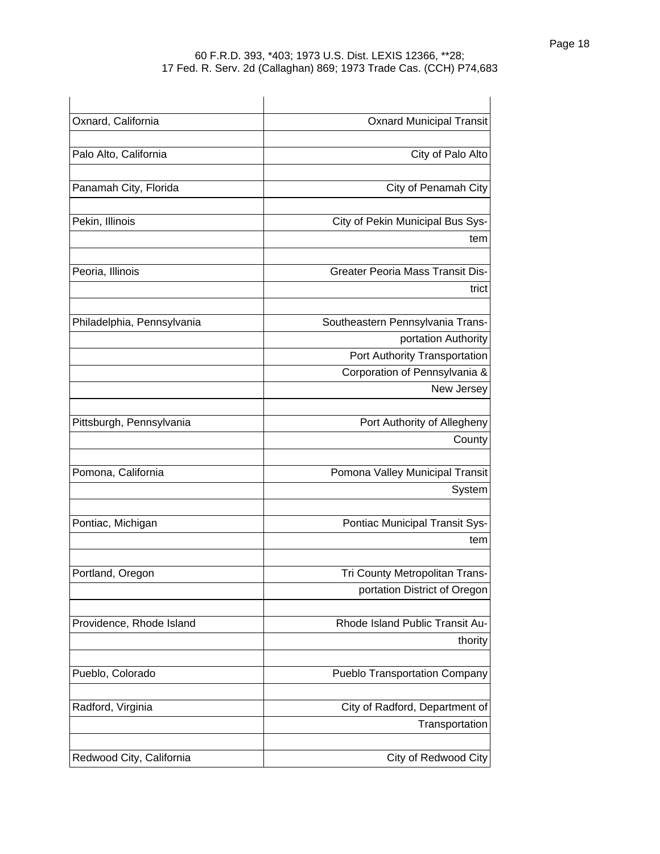| Oxnard, California         | <b>Oxnard Municipal Transit</b>         |
|----------------------------|-----------------------------------------|
| Palo Alto, California      | City of Palo Alto                       |
| Panamah City, Florida      | City of Penamah City                    |
| Pekin, Illinois            | City of Pekin Municipal Bus Sys-        |
|                            | tem                                     |
| Peoria, Illinois           | <b>Greater Peoria Mass Transit Dis-</b> |
|                            | trict                                   |
| Philadelphia, Pennsylvania | Southeastern Pennsylvania Trans-        |
|                            | portation Authority                     |
|                            | Port Authority Transportation           |
|                            | Corporation of Pennsylvania &           |
|                            | New Jersey                              |
| Pittsburgh, Pennsylvania   | Port Authority of Allegheny             |
|                            | County                                  |
| Pomona, California         | Pomona Valley Municipal Transit         |
|                            | System                                  |
| Pontiac, Michigan          | Pontiac Municipal Transit Sys-          |
|                            | tem                                     |
| Portland, Oregon           | Tri County Metropolitan Trans-          |
|                            | portation District of Oregon            |
| Providence, Rhode Island   | Rhode Island Public Transit Au-         |
|                            | thority                                 |
| Pueblo, Colorado           | <b>Pueblo Transportation Company</b>    |
| Radford, Virginia          | City of Radford, Department of          |
|                            | Transportation                          |
| Redwood City, California   | City of Redwood City                    |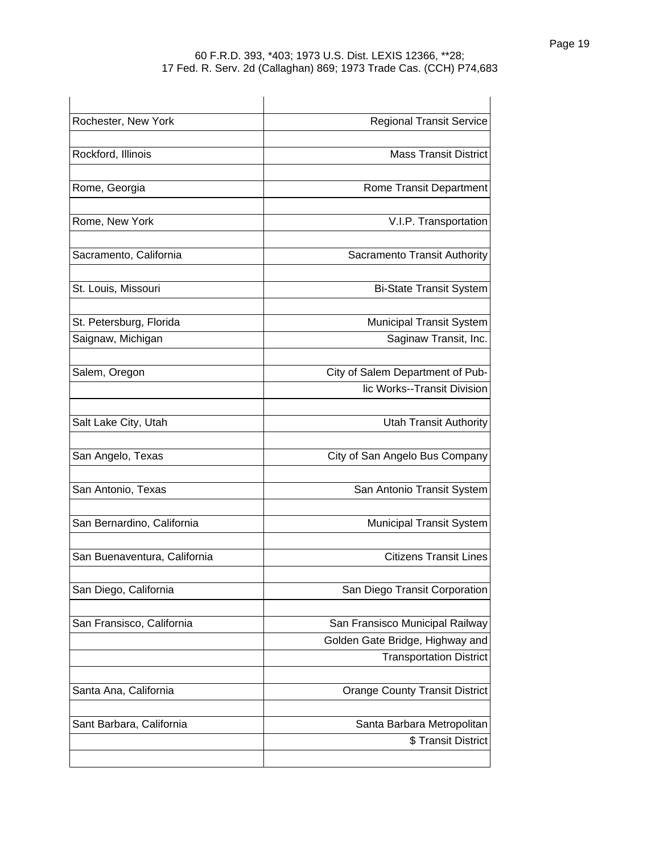| Rochester, New York          | <b>Regional Transit Service</b>                                   |
|------------------------------|-------------------------------------------------------------------|
| Rockford, Illinois           | <b>Mass Transit District</b>                                      |
| Rome, Georgia                | Rome Transit Department                                           |
| Rome, New York               | V.I.P. Transportation                                             |
| Sacramento, California       | Sacramento Transit Authority                                      |
| St. Louis, Missouri          | <b>Bi-State Transit System</b>                                    |
| St. Petersburg, Florida      | <b>Municipal Transit System</b>                                   |
| Saignaw, Michigan            | Saginaw Transit, Inc.                                             |
| Salem, Oregon                | City of Salem Department of Pub-                                  |
|                              | lic Works--Transit Division                                       |
| Salt Lake City, Utah         | <b>Utah Transit Authority</b>                                     |
| San Angelo, Texas            | City of San Angelo Bus Company                                    |
| San Antonio, Texas           | San Antonio Transit System                                        |
| San Bernardino, California   | <b>Municipal Transit System</b>                                   |
| San Buenaventura, California | <b>Citizens Transit Lines</b>                                     |
| San Diego, California        | San Diego Transit Corporation                                     |
| San Fransisco, California    | San Fransisco Municipal Railway                                   |
|                              | Golden Gate Bridge, Highway and<br><b>Transportation District</b> |
| Santa Ana, California        | <b>Orange County Transit District</b>                             |
| Sant Barbara, California     | Santa Barbara Metropolitan<br>\$ Transit District                 |
|                              |                                                                   |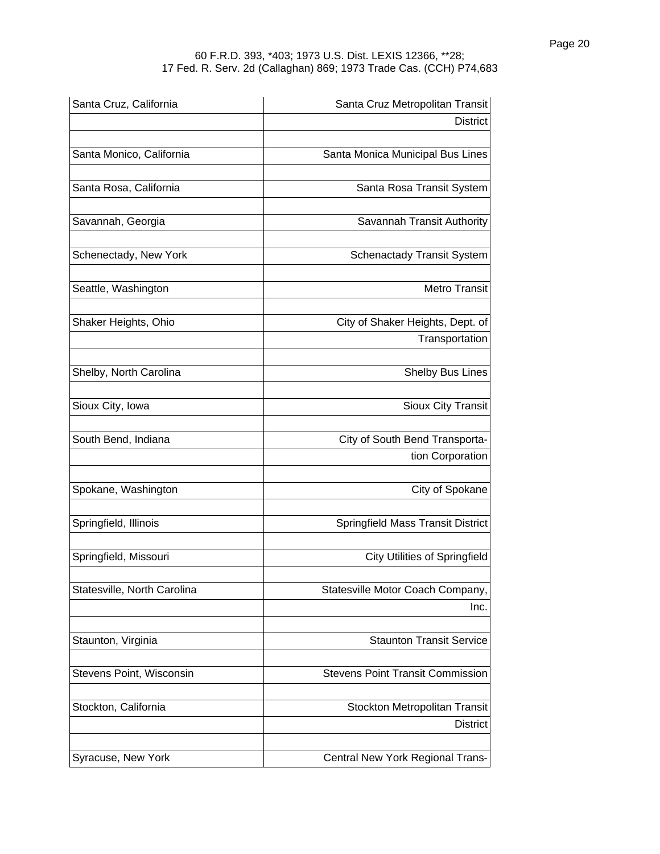| Santa Cruz, California      | Santa Cruz Metropolitan Transit         |
|-----------------------------|-----------------------------------------|
|                             | <b>District</b>                         |
| Santa Monico, California    | Santa Monica Municipal Bus Lines        |
| Santa Rosa, California      | Santa Rosa Transit System               |
| Savannah, Georgia           | Savannah Transit Authority              |
|                             |                                         |
| Schenectady, New York       | <b>Schenactady Transit System</b>       |
| Seattle, Washington         | <b>Metro Transit</b>                    |
| Shaker Heights, Ohio        | City of Shaker Heights, Dept. of        |
|                             | Transportation                          |
| Shelby, North Carolina      | <b>Shelby Bus Lines</b>                 |
| Sioux City, Iowa            | <b>Sioux City Transit</b>               |
| South Bend, Indiana         | City of South Bend Transporta-          |
|                             | tion Corporation                        |
| Spokane, Washington         | City of Spokane                         |
| Springfield, Illinois       | Springfield Mass Transit District       |
| Springfield, Missouri       | <b>City Utilities of Springfield</b>    |
| Statesville, North Carolina | Statesville Motor Coach Company,        |
|                             | Inc.                                    |
| Staunton, Virginia          | <b>Staunton Transit Service</b>         |
| Stevens Point, Wisconsin    | <b>Stevens Point Transit Commission</b> |
| Stockton, California        | Stockton Metropolitan Transit           |
|                             | <b>District</b>                         |
| Syracuse, New York          | Central New York Regional Trans-        |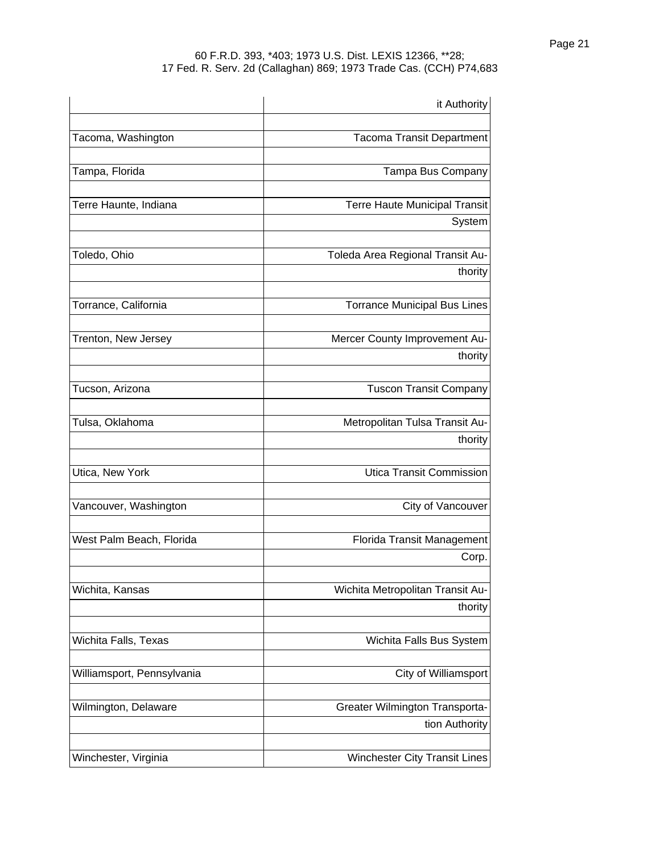|                            | it Authority                         |
|----------------------------|--------------------------------------|
| Tacoma, Washington         | <b>Tacoma Transit Department</b>     |
| Tampa, Florida             | Tampa Bus Company                    |
| Terre Haunte, Indiana      | <b>Terre Haute Municipal Transit</b> |
|                            | System                               |
| Toledo, Ohio               | Toleda Area Regional Transit Au-     |
|                            | thority                              |
| Torrance, California       | <b>Torrance Municipal Bus Lines</b>  |
| Trenton, New Jersey        | Mercer County Improvement Au-        |
|                            | thority                              |
| Tucson, Arizona            | <b>Tuscon Transit Company</b>        |
| Tulsa, Oklahoma            | Metropolitan Tulsa Transit Au-       |
|                            | thority                              |
| Utica, New York            | <b>Utica Transit Commission</b>      |
| Vancouver, Washington      | City of Vancouver                    |
| West Palm Beach, Florida   | Florida Transit Management           |
|                            | Corp.                                |
| Wichita, Kansas            | Wichita Metropolitan Transit Au-     |
|                            | thority                              |
| Wichita Falls, Texas       | Wichita Falls Bus System             |
| Williamsport, Pennsylvania | City of Williamsport                 |
| Wilmington, Delaware       | Greater Wilmington Transporta-       |
|                            | tion Authority                       |
| Winchester, Virginia       | Winchester City Transit Lines        |